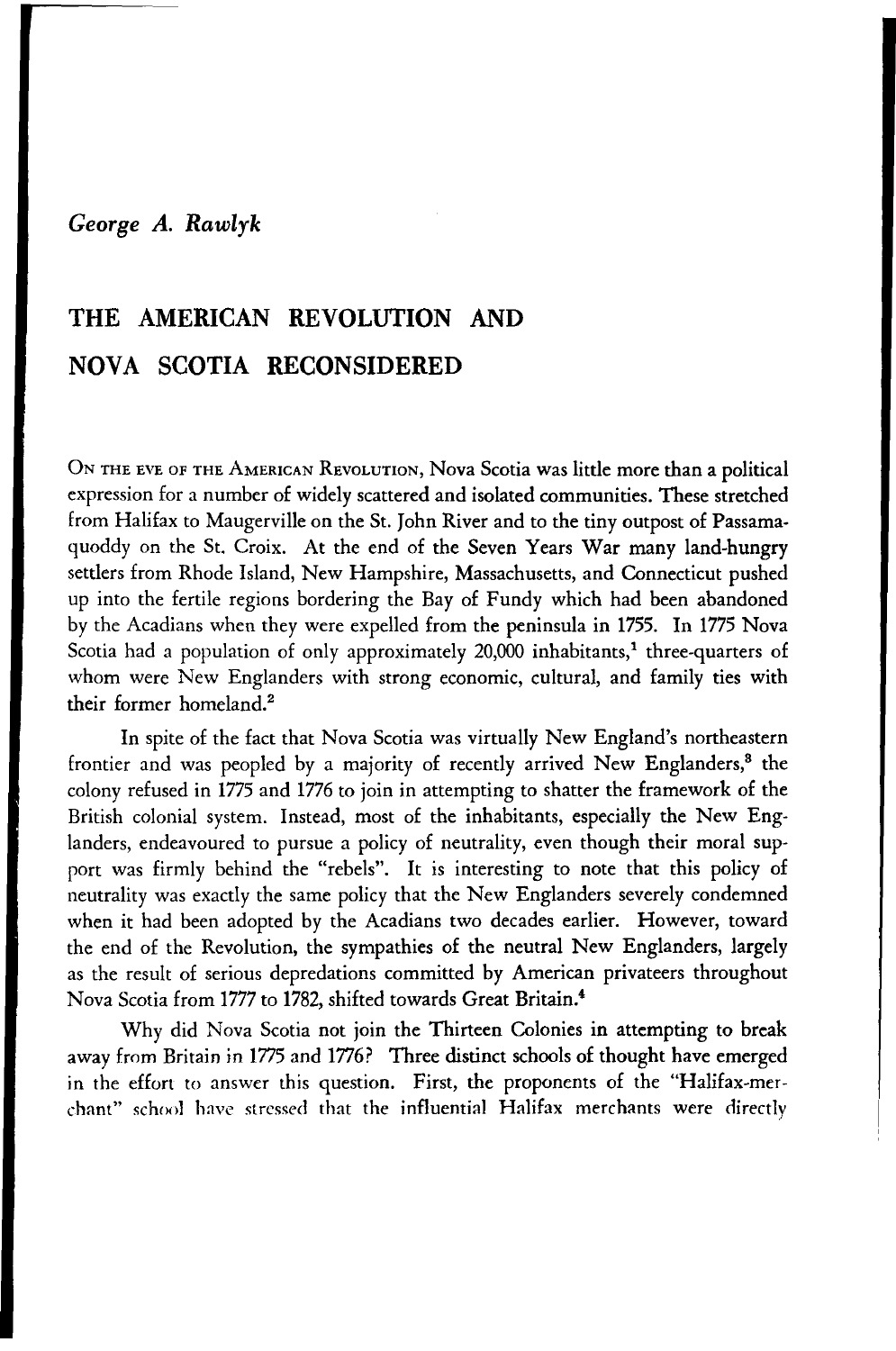# *George A. Rawlyk*

# **THE AMERICAN REVOLUTION AND NOVA SCOTIA RECONSIDERED**

ON THE EVE OF THE AMERICAN REVOLUTION, Nova Scotia was little more than a political expression for a number of widely scattered and isolated communities. These stretched from Halifax to Maugerville on the St. John River and to the tiny outpost of Passamaquoddy on the St. Croix. At the end of the Seven Years War many land-hungry settlers from Rhode Island, New Hampshire, Massachusetts, and Connecticut pushed up into the fertile regions bordering the Bay of Fundy which had been abandoned by the Acadians when they were expelled from the peninsula in 1755. In 1775 Nova Scotia had a population of only approximately  $20,000$  inhabitants,<sup>1</sup> three-quarters of whom were New Englanders with strong economic, cultural, and family ties with their former homeland.<sup>2</sup>

In spite of the fact that Nova Scotia was virtually New England's northeastern frontier and was peopled by a majority of recently arrived New Englanders,<sup>8</sup> the colony refused in 1775 and 1776 to join in attempting to shatter the framework of the British colonial system. Instead, most of the inhabitants, especially the New Englanders, endeavoured to pursue a policy of neutrality, even though their moral support was firmly behind the "rebels". It is interesting to note that this policy of neutrality was exactly the same policy that the New Englanders severely condemned when it had been adopted by the Acadians two decades earlier. However, toward the end of the Revolution, the sympathies of the neutral New Englanders, largely as the result of serious depredations committed by American privateers throughout Nova Scotia from 1777 to 1782, shifted towards Great Britain.4

Why did Nova Scotia not join the Thirteen Colonies in attempting to break away from Britain in 1775 and 1776? Three distinct schools of thought have emerged in the effort to answer this question. First, the proponents of the "Halifax-merchant" school have stressed that the influential Halifax merchants were directly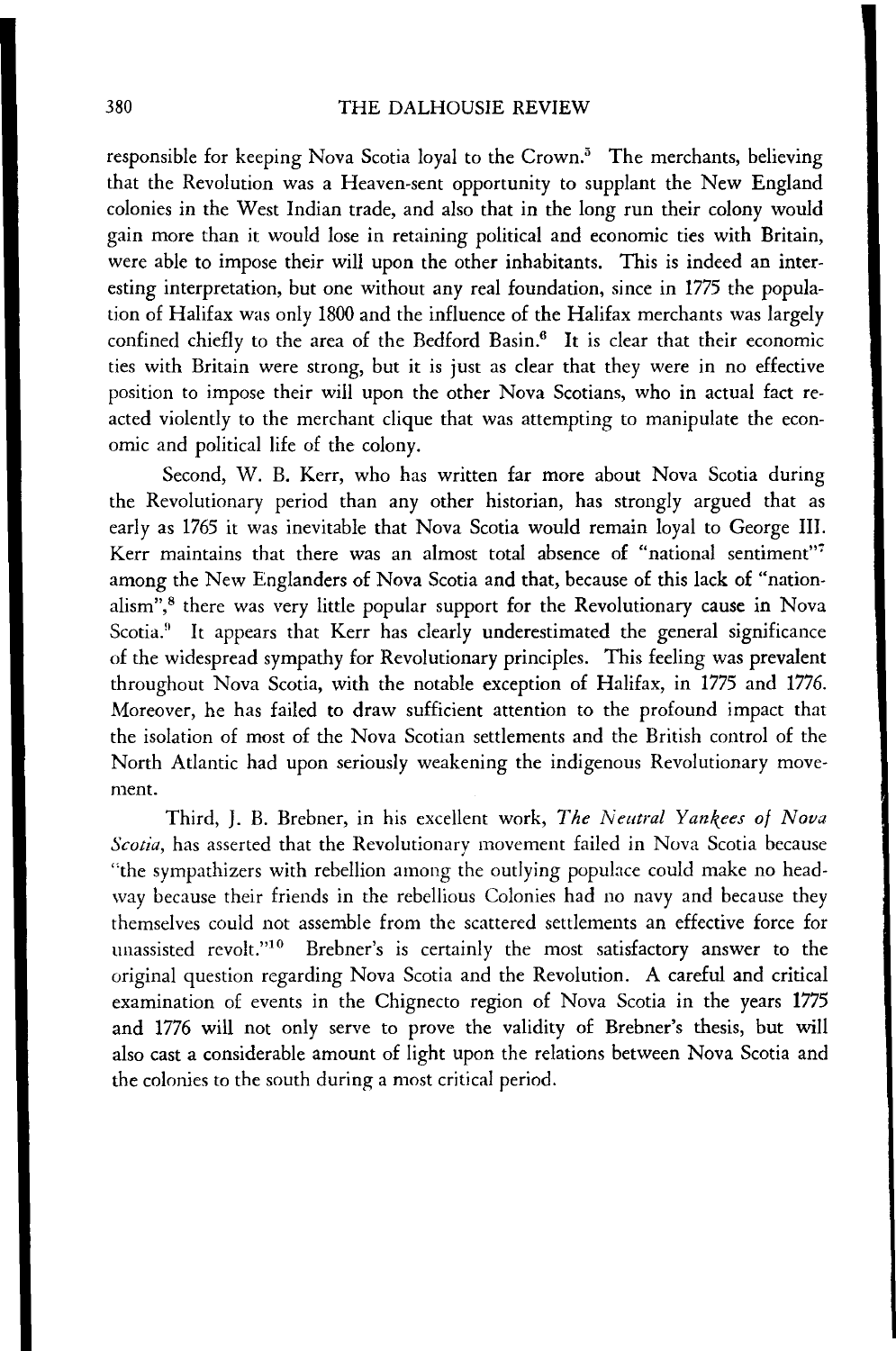#### 380 THE DALHOUSIE REVIEW

responsible for keeping Nova Scotia loyal to the Crown.<sup>5</sup> The merchants, believing that the Revolution was a Heaven-sent opportunity to supplant the New England colonies in the West Indian trade, and also that in the long run their colony would gain more than it would lose in retaining political and economic ties with Britain, were able to impose their will upon the other inhabitants. This is indeed an interesting interpretation, but one without any real foundation, since in 1775 the population of Halifax was only 1800 and the influence of the Halifax merchants was largely confined chiefly to the area of the Bedford Basin.<sup>6</sup> It is clear that their economic ties with Britain were strong, but it is just as clear that they were in no effective position to impose their will upon the other Nova Scotians, who in actual fact reacted violently to the merchant clique that was attempting to manipulate the economic and political life of the colony.

Second, W. B. Kerr, who has written far more about Nova Scotia during the Revolutionary period than any other historian, has strongly argued that as early as 1765 it was inevitable that Nova Scotia would remain loyal to George Ill. Kerr maintains that there was an almost total absence of "national sentiment"<sup>7</sup> among the New Englanders of Nova Scotia and that, because of this lack of "nationalism",<sup>8</sup> there was very little popular support for the Revolutionary cause in Nova Scotia.<sup>9</sup> It appears that Kerr has clearly underestimated the general significance of the widespread sympathy for Revolutionary principles. This feeling was prevalent throughout Nova Scotia, with the notable exception of Halifax, in 1775 and 1776. Moreover, he has failed to draw sufficient attention to the profound impact that the isolation of most of the Nova Scotian settlements and the British control of the North Atlantic had upon seriously weakening the indigenous Revolutionary movement.

Third, J. B. Brebner, in his excellent work, *The Neutral Yankees of Nova Scotia,* has asserted that the Revolutionary movement failed in Nova Scotia because "the sympathizers with rebellion among the outlying populace could make no headway because their friends in the rebellious Colonies had no navy and because they themselves could not assemble from the scattered settlements an effective force for unassisted revolt."10 Brebner's is certainly the most satisfactory answer to the original question regarding Nova Scotia and the Revolution. A careful and critical examination of events in the Chignecto region of Nova Scotia in the years 1775 and 1776 will not only serve to prove the validity of Brebner's thesis, but will also cast a considerable amount of light upon the relations between Nova Scotia and the colonies to the south during a most critical period.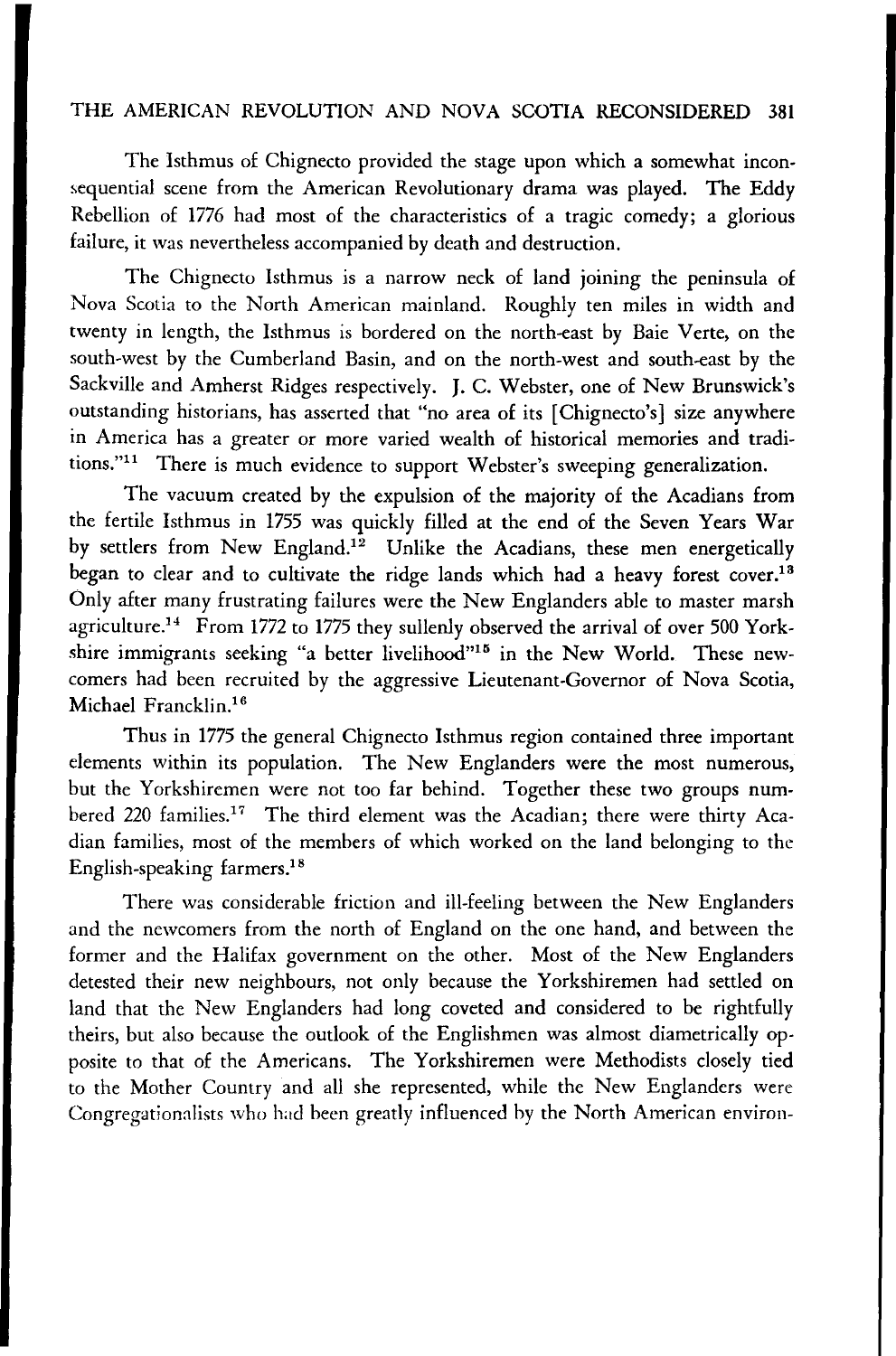The Isthmus of Chignecto provided the stage upon which a somewhat incon sequential scene from the American Revolutionary drama was played. The Eddy Rebellion of 1776 had most of the characteristics of a tragic comedy; a glorious failure, it was nevertheless accompanied by death and destruction.

The Chignecto Isthmus is a narrow neck of land joining the peninsula of Nova Scotia to the North American mainland. Roughly ten miles in width and twenty in length, the Isthmus is bordered on the north-east by Baie Verte, on the south-west by the Cumberland Basin, and on the north-west and south-east by the Sackville and Amherst Ridges respectively. J. C. Webster, one of New Brunswick's outstanding historians, has asserted that "no area of its [ Chignecto's] size anywhere in America has a greater or more varied wealth of historical memories and traditions."<sup>11</sup> There is much evidence to support Webster's sweeping generalization.

The vacuum created by the expulsion of the majority of the Acadians from the fertile Isthmus in 1755 was quickly filled at the end of the Seven Years War by settlers from New England.<sup>12</sup> Unlike the Acadians, these men energetically began to clear and to cultivate the ridge lands which had a heavy forest cover.<sup>13</sup> Only after many frustrating failures were the New Englanders able to master marsh agriculture.<sup>14</sup> From 1772 to 1775 they sullenly observed the arrival of over 500 Yorkshire immigrants seeking "a better livelihood"15 in the New World. These newcomers had been recruited by the aggressive Lieutenant-Governor of Nova Scotia, Michael Francklin.<sup>16</sup>

Thus in 1775 the general Chignecto Isthmus region contained three important elements within its population. The New Englanders were the most numerous, but the Yorkshiremen were not too far behind. Together these two groups numbered 220 families.<sup>17</sup> The third element was the Acadian; there were thirty Acadian families, most of the members of which worked on the land belonging to the English-speaking farmers.<sup>18</sup>

There was considerable friction and ill-feeling between the New Englanders and the newcomers from the north of England on the one hand, and between the former and the Halifax government on the other. Most of the New Englanders detested their new neighbours, not only because the Yorkshiremen had settled on land that the New Englanders had long coveted and considered to be rightfully theirs, but also because the outlook of the Englishmen was almost diametrically opposite to that of the Americans. The Yorkshiremen were Methodists closely tied to the Mother Country and all she represented, while the New Englanders were Congregationalists who had been greatly influenced by the North American environ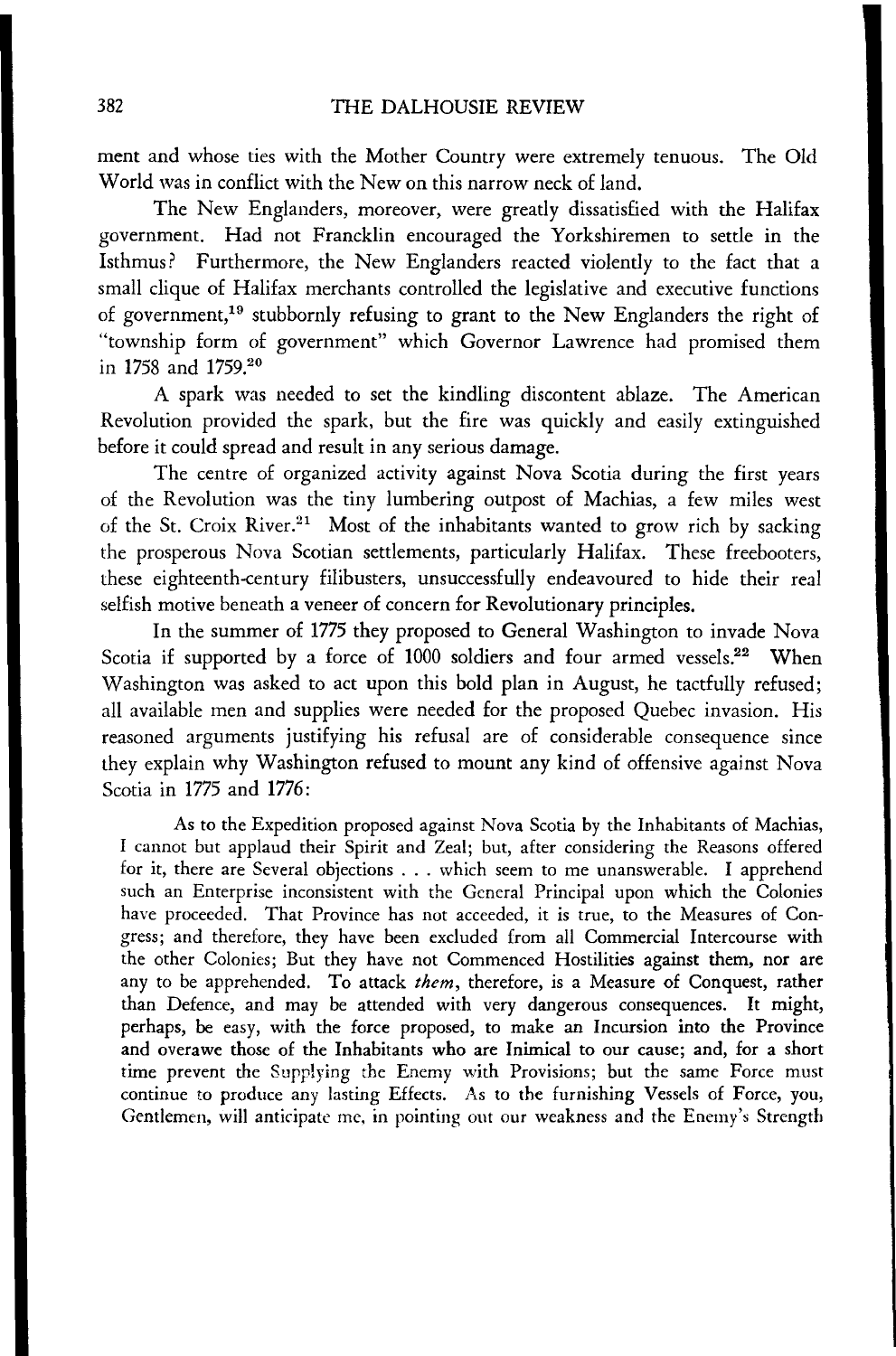ment and whose ties with the Mother Country were extremely tenuous. The Old World was in conflict with the New on this narrow neck of land.

The New Englanders, moreover, were greatly dissatisfied with the Halifax government. Had not Francklin encouraged the Yorkshiremen to settle in the Isthmus? Furthermore, the New Englanders reacted violently to the fact that a small clique of Halifax merchants controlled the legislative and executive functions of government,<sup>19</sup> stubbornly refusing to grant to the New Englanders the right of ''township form of government" which Governor Lawrence had promised them in 1758 and 1759.<sup>20</sup>

A spark was needed to set the kindling discontent ablaze. The American Revolution provided the spark, but the fire was quickly and easily extinguished before it could spread and result in any serious damage.

The centre of organized activity against Nova Scotia during the first years of the Revolution was the tiny lumbering outpost of Machias, a few miles west of the St. Croix River.<sup>21</sup> Most of the inhabitants wanted to grow rich by sacking the prosperous Nova Scotian settlements, particularly Halifax. These freebooters, these eighteenth-century filibusters, unsuccessfully endeavoured to hide their real selfish motive beneath a veneer of concern for Revolutionary principles.

In the summer of 1775 they proposed to General Washington to invade Nova Scotia if supported by a force of 1000 soldiers and four armed vessels.<sup>22</sup> When Washington was asked to act upon this bold plan in August, he tactfully refused; all available men and supplies were needed for the proposed Quebec invasion. His reasoned arguments justifying his refusal are of considerable consequence since they explain why Washington refused to mount any kind of offensive against Nova Scotia in 1775 and 1776:

As to the Expedition proposed against Nova Scotia by the Inhabitants of Machias, I cannot but applaud their Spirit and Zeal; but, after considering the Reasons offered for it, there are Several objections ... which seem to me unanswerable. I apprehend such an Enterprise inconsistent with the General Principal upon which the Colonies have proceeded. That Province has not acceeded, it is true, to the Measures of Congress; and therefore, they have been excluded from all Commercial Intercourse with the other Colonies; But they have not Commenced Hostilities against them, nor are any to be apprehended. To attack *them,* therefore, is a Measure of Conquest, rather than Defence, and may be attended with very dangerous consequences. It might, perhaps, be easy, with the force proposed, to make an Incursion into the Province and overawe those of the Inhabitants who are Inimical to our cause; and, for a short time prevent the Supplying the Enemy with Provisions; but the same Force must continue to produce any lasting Effects. As to the furnishing Vessels of Force, you, Gentlemen, will anticipate me, in pointing out our weakness and the Enemy's Strength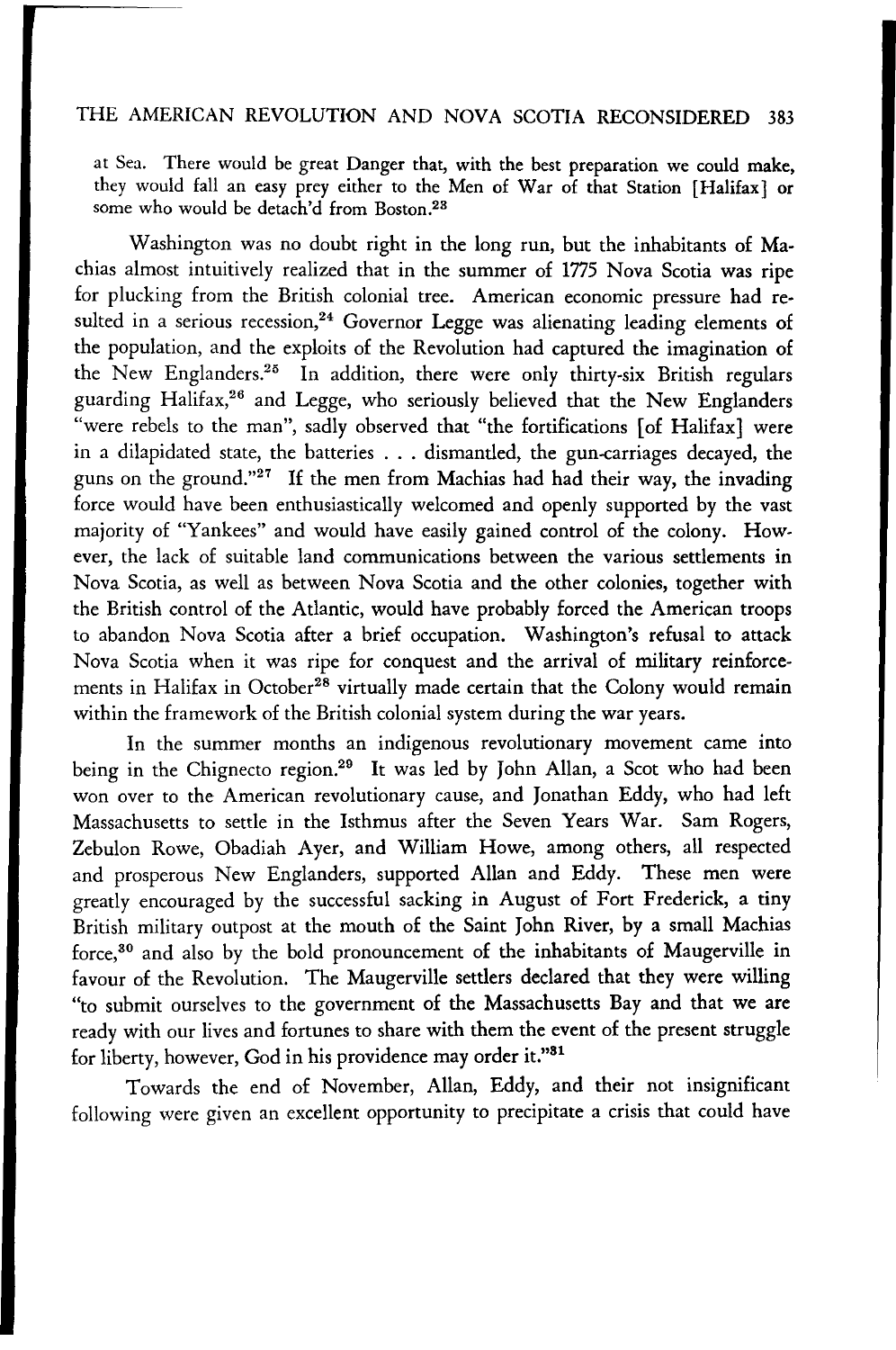at Sea. There would be great Danger that, with the best preparation we could make, they would fall an easy prey either to the Men of War of that Station [Halifax] or some who would be detach'd from Boston.23

Washington was no doubt right in the long run, but the inhabitants of Machias almost intuitively realized that in the summer of 1775 Nova Scotia was ripe for plucking from the British colonial tree. American economic pressure had resulted in a serious recession,<sup>24</sup> Governor Legge was alienating leading elements of the population, and the exploits of the Revolution had captured the imagination of the New Englanders.25 In addition, there were only thirty-six British regulars guarding Halifax,<sup>26</sup> and Legge, who seriously believed that the New Englanders "were rebels to the man", sadly observed that "the fortifications [of Halifax] were in a dilapidated state, the batteries . . . dismantled, the gun-carriages decayed, the guns on the ground."<sup>27</sup> If the men from Machias had had their way, the invading force would have been enthusiastically welcomed and openly supported by the vast majority of "Yankees" and would have easily gained control of the colony. However, the lack of suitable land communications between the various settlements in Nova Scotia, as well as between Nova Scotia and the other colonies, together with the British control of the Atlantic, would have probably forced the American troops to abandon Nova Scotia after a brief occupation. Washington's refusal to attack Nova Scotia when it was ripe for conquest and the arrival of military reinforcements in Halifax in October<sup>28</sup> virtually made certain that the Colony would remain within the framework of the British colonial system during the war years.

In the summer months an indigenous revolutionary movement came into being in the Chignecto region.<sup>29</sup> It was led by John Allan, a Scot who had been won over to the American revolutionary cause, and Jonathan Eddy, who had left Massachusetts to settle in the Isthmus after the Seven Years War. Sam Rogers, Zebulon Rowe, Obadiah Ayer, and William Howe, among others, all respected and prosperous New Englanders, supported Allan and Eddy. These men were greatly encouraged by the successful sacking in August of Fort Frederick, a tiny British military outpost at the mouth of the Saint John River, by a small Machias force, 30 and also by the bold pronouncement of the inhabitants of Maugerville in favour of the Revolution. The Maugerville settlers declared that they were willing "to submit ourselves to the government of the Massachusetts Bay and that we are ready with our lives and fortunes to share with them the event of the present struggle for liberty, however, God in his providence may order it."<sup>81</sup>

Towards the end of November, Allan, Eddy, and their not insignificant following were given an excellent opportunity to precipitate a crisis that could have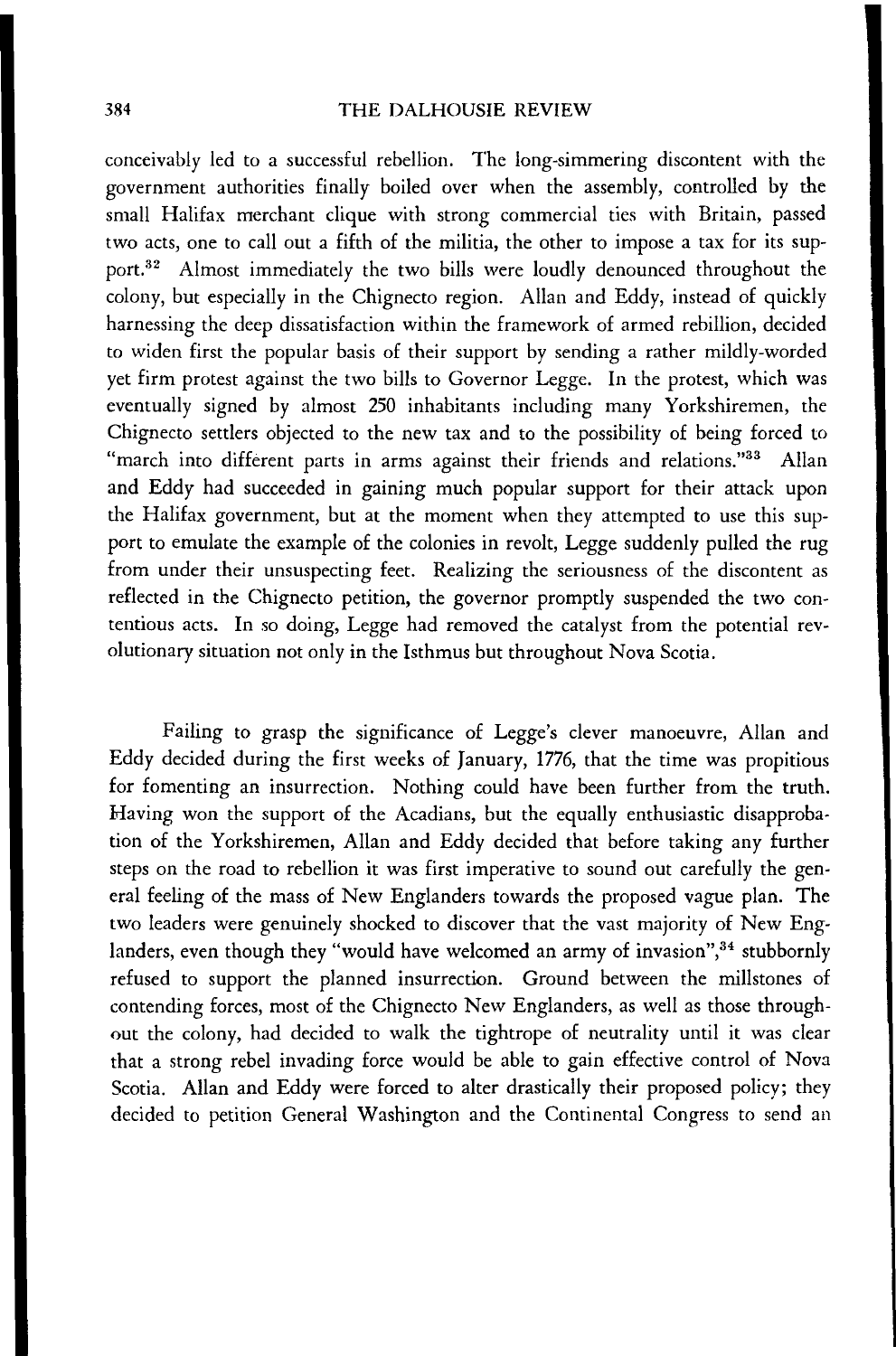#### 384 THE DALHOUSlE REVIEW

conceivably led to a successful rebellion. The long-simmering discontent with the government authorities finally boiled over when the assembly, controlled by the small Halifax merchant clique with strong commercial ties with Britain, passed two acts, one to call out a fifth of the militia, the other to impose a tax for its support.32 Almost immediately the two bills were loudly denounced throughout the colony, but especially in the Chignecto region. Allan and Eddy, instead of quickly harnessing the deep dissatisfaction within the framework of armed rebillion, decided to widen first the popular basis of their support by sending a rather mildly-worded yet firm protest against the two bills to Governor Legge. In the protest, which was eventually signed by almost 250 inhabitants including many Yorkshiremen, the Chignecto settlers objected to the new tax and to the possibility of being forced to "march into different parts in arms against their friends and relations."<sup>33</sup> Allan and Eddy had succeeded in gaining much popular support for their attack upon the Halifax government, but at the moment when they attempted to use this support to emulate the example of the colonies in revolt, Legge suddenly pulled the rug from under their unsuspecting feet. Realizing the seriousness of the discontent as reflected in the Chignecto petition, the governor promptly suspended the two contentious acts. In so doing, Legge had removed the catalyst from the potential revolutionary situation not only in the Isthmus but throughout Nova Scotia.

Failing to grasp the significance of Legge's clever manoeuvre, Allan and Eddy decided during the first weeks of January, 1776, that the time was propitious for fomenting an insurrection. Nothing could have been further from the truth. Having won the support of the Acadians, but the equally enthusiastic disapprobation of the Yorkshiremen, Allan and Eddy decided that before taking any further steps on the road to rebellion it was first imperative to sound out carefully the general feeling of the mass of New Englanders towards the proposed vague plan. The two leaders were genuinely shocked to discover that the vast majority of New Englanders, even though they "would have welcomed an army of invasion",<sup>34</sup> stubbornly refused to support the planned insurrection. Ground between the millstones of contending forces, most of the Chignecto New Englanders, as well as those throughout the colony, had decided to walk the tightrope of neutrality until it was clear that a strong rebel invading force would be able to gain effective control of Nova Scotia. Allan and Eddy were forced to alter drastically their proposed policy; they decided to petition General Washington and the Continental Congress to send an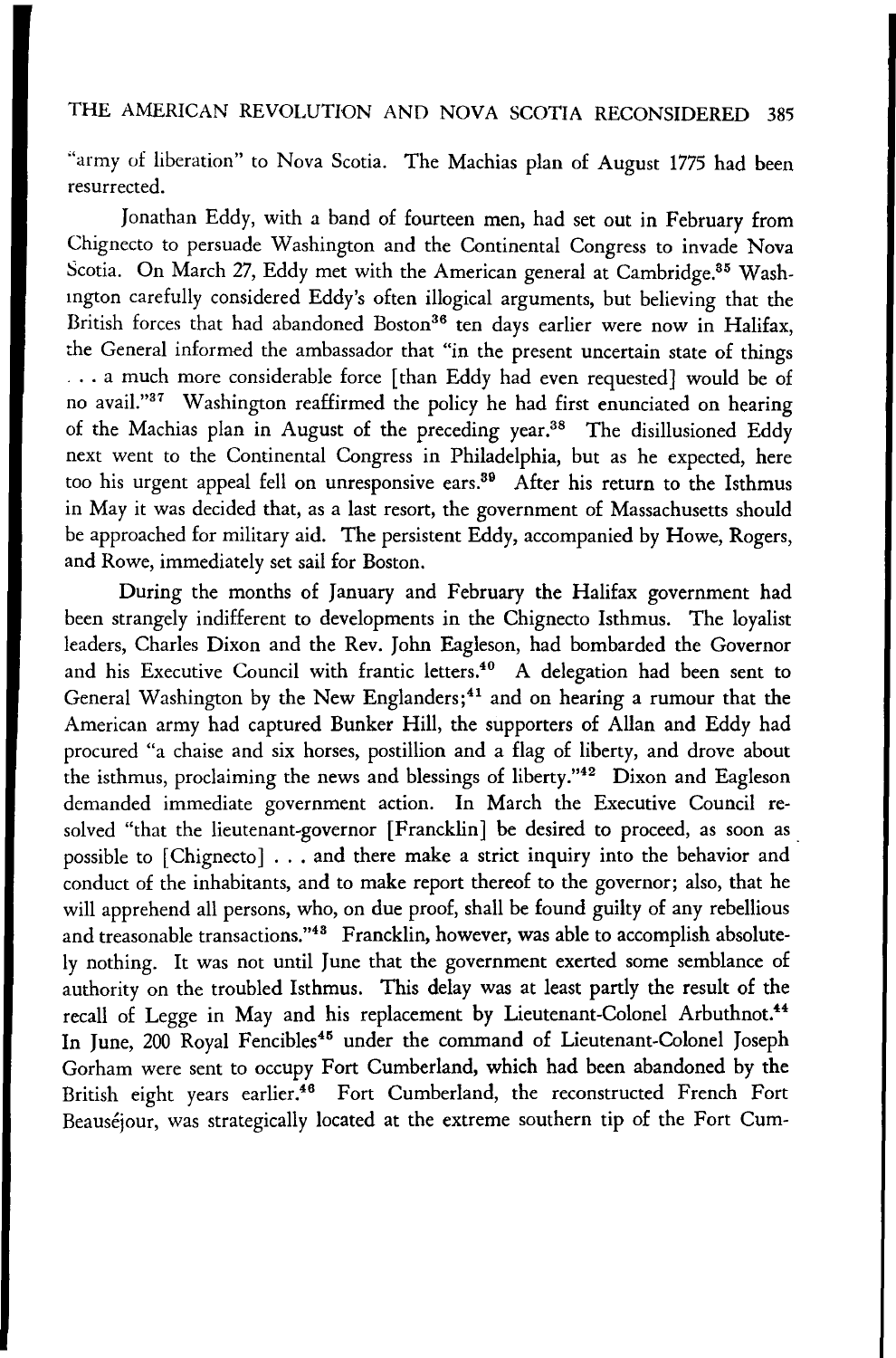·'army of liberation" to Nova Scotia. The Machias plan of August 1775 had been resurrected.

Jonathan Eddy, with a band of fourteen men, had set out in February from Chignecto to persuade Washington and the Continental Congress to invade Nova Scotia. On March 27, Eddy met with the American general at Cambridge.<sup>35</sup> Washmgton carefully considered Eddy's often illogical arguments, but believing that the British forces that had abandoned Boston<sup>36</sup> ten days earlier were now in Halifax, the General informed the ambassador that "in the present uncertain state of things ... a much more considerable force [than Eddy had even requested] would be of no avail."37 Washington reaffirmed the policy he had first enunciated on hearing of the Machias plan in August of the preceding year.<sup>38</sup> The disillusioned Eddy next went to the Continental Congress in Philadelphia, but as he expected, here too his urgent appeal fell on unresponsive ears.<sup>39</sup> After his return to the Isthmus in May it was decided that, as a last resort, the government of Massachusetts should be approached for military aid. The persistent Eddy, accompanied by Howe, Rogers, and Rowe, immediately set sail for Boston.

During the months of January and February the Halifax government had been strangely indifferent to developments in the Chignecto Isthmus. The loyalist leaders, Charles Dixon and the Rev. John Eagleson, had bombarded the Governor and his Executive Council with frantic letters.<sup>40</sup> A delegation had been sent to General Washington by the New Englanders; 41 and on hearing a rumour that the American army had captured Bunker Hill, the supporters of Allan and Eddy had procured "a chaise and six horses, postillion and a flag of liberty, and drove about the isthmus, proclaiming the news and blessings of liberty."42 Dixon and Eagleson demanded immediate government action. In March the Executive Council resolved "that the lieutenant-governor [Francklin] be desired to proceed, as soon as possible to [ Chignecto] ... and there make a strict inquiry into the behavior and conduct of the inhabitants, and to make report thereof to the governor; also, that he will apprehend all persons, who, on due proof, shall be found guilty of any rebellious and treasonable transactions."<sup>48</sup> Francklin, however, was able to accomplish absolutely nothing. It was not until June that the government exerted some semblance of authority on the troubled Isthmus. This delay was at least partly the result of the recall of Legge in May and his replacement by Lieutenant-Colonel Arbuthnot.<sup>44</sup> In June, 200 Royal Fencibles<sup>45</sup> under the command of Lieutenant-Colonel Joseph Gorham were sent to occupy Fort Cumberland, which had been abandoned by the British eight years earlier.<sup>46</sup> Fort Cumberland, the reconstructed French Fort Beausejour, was strategically located at the extreme southern tip of the Fort Cum-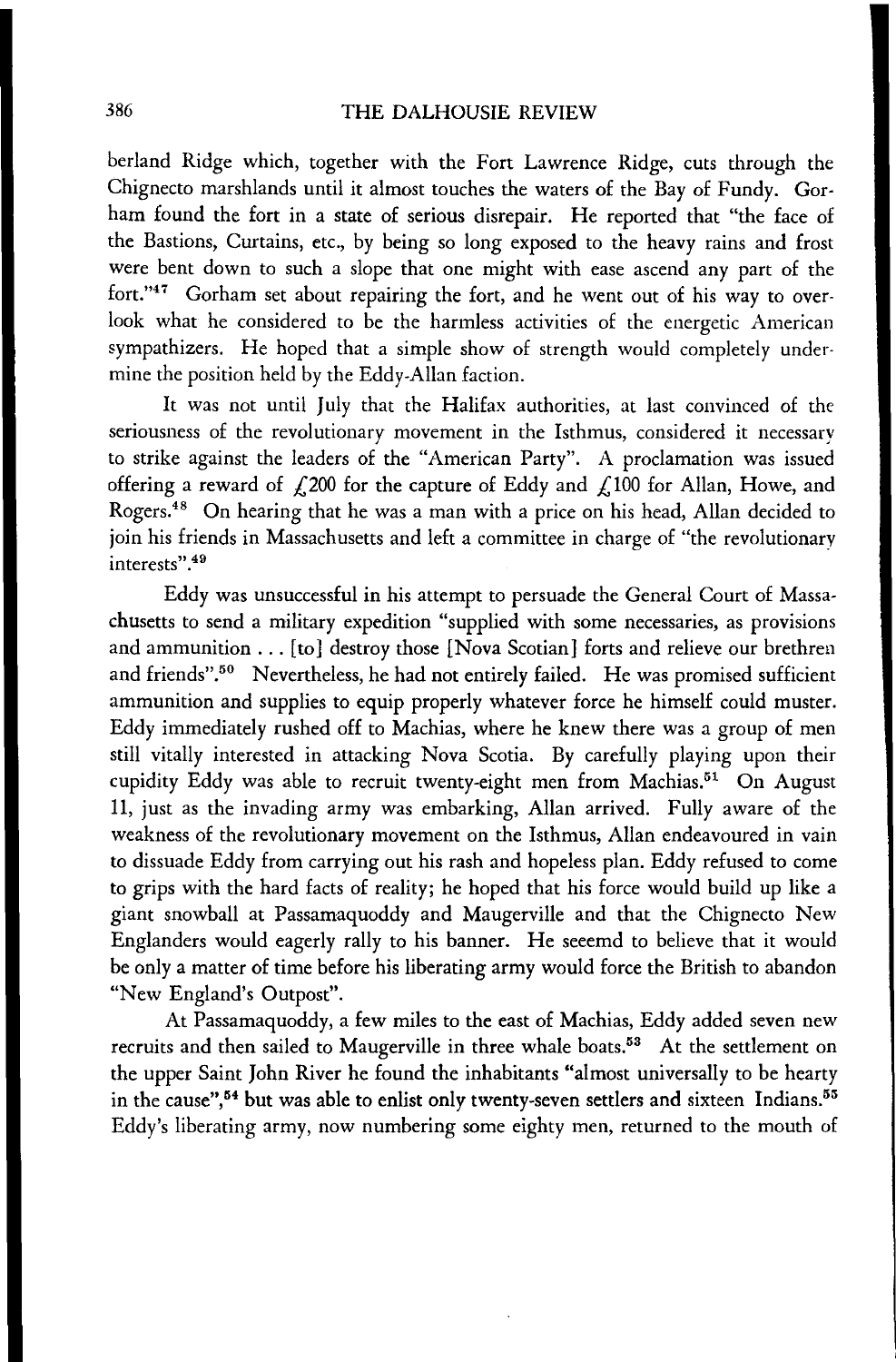#### 386 THE DALHOUSIE REVIEW

berland Ridge which, together with the Fort Lawrence Ridge, cuts through the Chignecto marshlands until it almost touches the waters of the Bay of Fundy. Gorham found the fort in a state of serious disrepair. He reported that "the face of the Bastions, Curtains, etc., by being so long exposed to the heavy rains and frost were bent down to such a slope that one might with ease ascend any part of the fort."47 Gorham set about repairing the fort, and he went out of his way to overlook what he considered to be the harmless activities of the energetic American sympathizers. He hoped that a simple show of strength would completely undermine the position held by the Eddy-Allan faction.

It was not until July that the Halifax authorities, at last convinced of the seriousness of the revolutionary movement in the Isthmus, considered it necessary to strike against the leaders of the "American Party". A proclamation was issued offering a reward of  $\angle$  200 for the capture of Eddy and  $\angle$  100 for Allan, Howe, and Rogers.<sup>48</sup> On hearing that he was a man with a price on his head, Allan decided to join his friends in Massachusetts and left a committee in charge of "the revolutionary interests".<sup>49</sup>

Eddy was unsuccessful in his attempt to persuade the General Court of Massachusetts to send a military expedition "supplied with some necessaries, as provisions and ammunition ... [to] destroy those [Nova Scotian] forts and relieve our brethren and friends".50 Nevertheless, he had not entirely failed. He was promised sufficient ammunition and supplies to equip properly whatever force he himself could muster. Eddy immediately rushed off to Machias, where he knew there was a group of men still vitally interested in attacking Nova Scotia. By carefully playing upon their cupidity Eddy was able to recruit twenty-eight men from Machias.<sup>51</sup> On August 11, just as the invading army was embarking, Allan arrived. Fully aware of the weakness of the revolutionary movement on the Isthmus, Allan endeavoured in vain to dissuade Eddy from carrying out his rash and hopeless plan. Eddy refused to come to grips with the hard facts of reality; he hoped that his force would build up like a giant snowball at Passamaquoddy and Maugerville and that the Chignecto New Englanders would eagerly rally to his banner. He seeemd to believe that it would be only a matter of time before his liberating army would force the British to abandon "New England's Outpost".

At Passamaquoddy, a few miles to the east of Machias, Eddy added seven new recruits and then sailed to Maugerville in three whale boats.<sup>53</sup> At the settlement on the upper Saint John River he found the inhabitants "almost universally to be hearty in the cause",<sup>54</sup> but was able to enlist only twenty-seven settlers and sixteen Indians.<sup>55</sup> Eddy's liberating army, now numbering some eighty men, returned to the mouth of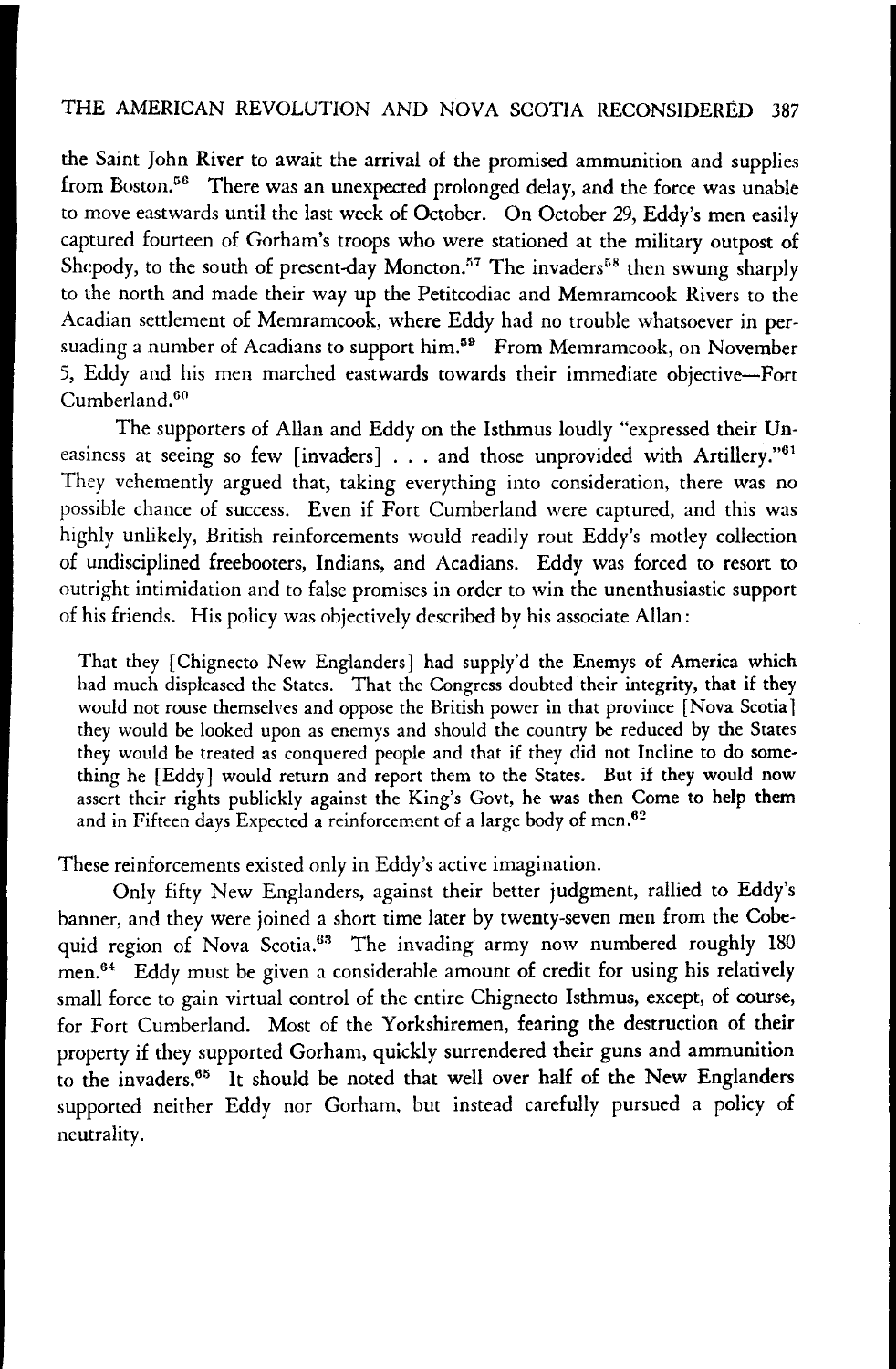the Saint John River to await the arrival of the promised ammunition and supplies from Boston.<sup>56</sup> There was an unexpected prolonged delay, and the force was unable to move eastwards until the last week of October. On October 29, Eddy's men easily captured fourteen of Gorham's troops who were stationed at the military outpost of Shcpody, to the south of present-day Moncton.<sup>57</sup> The invaders<sup>58</sup> then swung sharply to lhe north and made their way up the Petitcodiac and Memramcook Rivers to the Acadian settlement of Memramcook, where Eddy had no trouble whatsoever in persuading a number of Acadians to support him.<sup>59</sup> From Memramcook, on November 5, Eddy and his men marched eastwards towards their immediate objective-Fort Cumberland.<sup>60</sup>

The supporters of Allan and Eddy on the Isthmus loudly "expressed their Uneasiness at seeing so few [invaders] ... and those unprovided with Artillery."61 They vehemently argued that, taking everything into consideration, there was no possible chance of success. Even if Fort Cumberland were captured, and this was highly unlikely, British reinforcements would readily rout Eddy's motley collection of undisciplined freebooters, Indians, and Acadians. Eddy was forced to resort to outright intimidation and to false promises in order to win the unenthusiastic support of his friends. His policy was objectively described by his associate Allan:

That they [Chignecto New Englanders] had supply'd the Enemys of America which had much displeased the States. That the Congress doubted their integrity, that if they would not rouse themselves and oppose the British power in that province [Nova Scotia] they would be looked upon as enemys and should the country be reduced by the States they would be treated as conquered people and that if they did not Incline to do something he [Eddy] would return and report them to the States. But if they would now assert their rights publickly against the King's Govt, he was then Come to help them and in Fifteen days Expected a reinforcement of a large body of men.<sup>62</sup>

These reinforcements existed only in Eddy's active imagination.

Only fifty New Englanders, against their better judgment, rallied to Eddy's banner, and they were joined a short time later by twenty-seven men from the Cobequid region of Nova Scotia.<sup>63</sup> The invading army now numbered roughly 180 men.64 Eddy must be given a considerable amount of credit for using his relatively small force to gain virtual control of the entire Chignecto Isthmus, except, of course, for Fort Cumberland. Most of the Yorkshiremen, fearing the destruction of their property if they supported Gorham, quickly surrendered their guns and ammunition to the invaders.65 It should be noted that well over half of the New Englanders supported neither Eddy nor Gorham, but instead carefully pursued a policy of neutrality.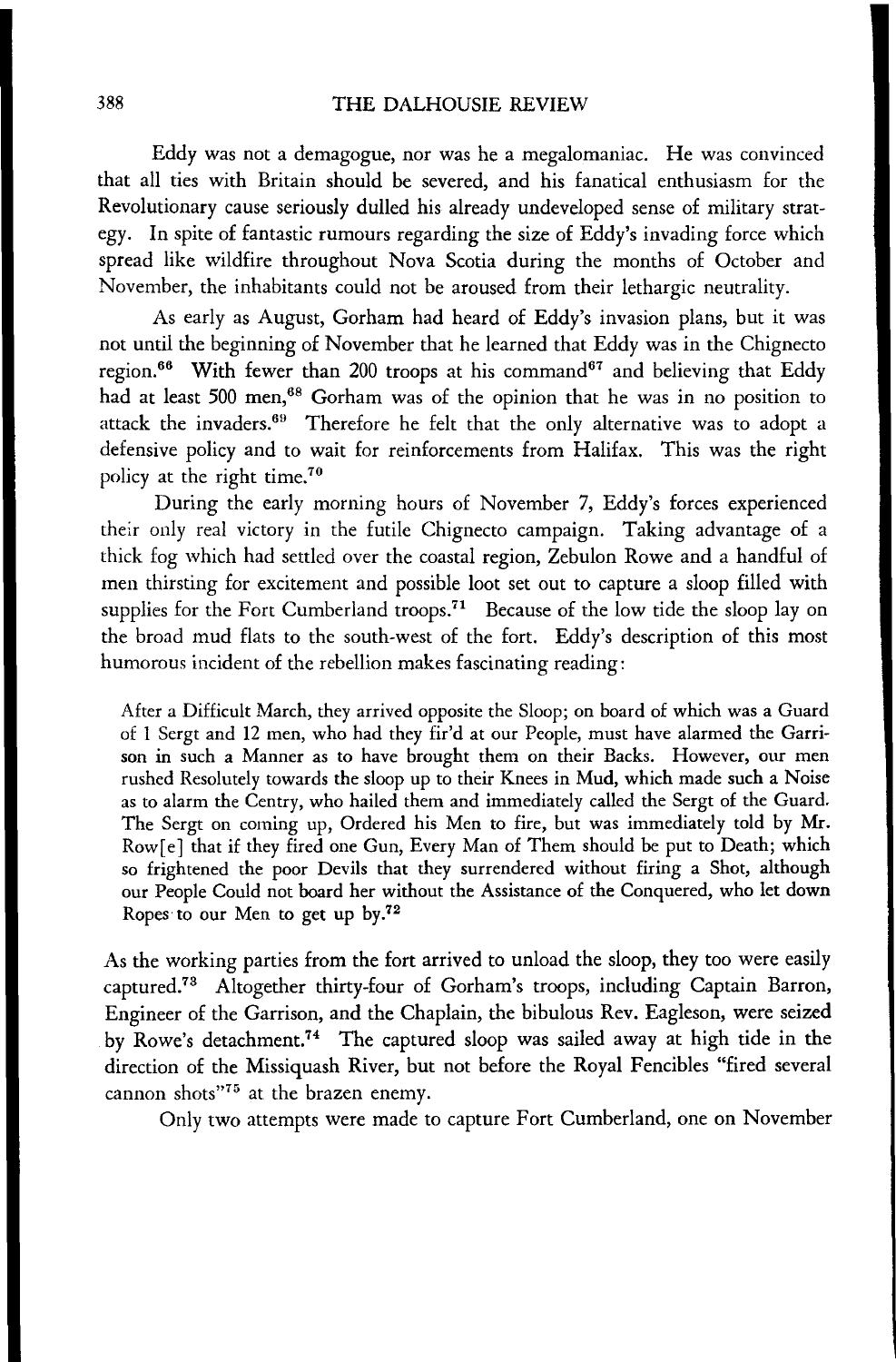Eddy was not a demagogue, nor was he a megalomaniac. He was convinced that all ties with Britain should be severed, and his fanatical enthusiasm for the Revolutionary cause seriously dulled his already undeveloped sense of military strategy. In spite of fantastic rumours regarding the size of Eddy's invading force which spread like wildfire throughout Nova Scotia during the months of October and November, the inhabitants could not be aroused from their lethargic neutrality.

As early as August, Gorham had heard of Eddy's invasion plans, but it was not until the beginning of November that he learned that Eddy was in the Chignecto region.<sup>66</sup> With fewer than 200 troops at his command<sup>67</sup> and believing that Eddy had at least 500 men,<sup>68</sup> Gorham was of the opinion that he was in no position to attack the invaders.<sup>69</sup> Therefore he felt that the only alternative was to adopt a defensive policy and to wait for reinforcements from Halifax. This was the right policy at the right time.<sup>70</sup>

During the early morning hours of November 7, Eddy's forces experienced their only real victory in the futile Chignecto campaign. Taking advantage of a thick fog which had settled over the coastal region, Zebulon Rowe and a handful of men thirsting for excitement and possible loot set out to capture a sloop filled with supplies for the Fort Cumberland troops.<sup>71</sup> Because of the low tide the sloop lay on the broad mud flats to the south-west of the fort. Eddy's description of this most humorous incident of the rebellion makes fascinating reading:

After a Difficult March, they arrived opposite the Sloop; on board of which was a Guard of 1 Sergt and 12 men, who had they fir'd at our People, must have alarmed the Garrison in such a Manner as to have brought them on their Backs. However, our men rushed Resolutely towards the sloop up to their Knees in Mud, which made such a Noise as to alarm the Centry, who hailed them and immediately called the Sergt of the Guard. The Sergt on coming up, Ordered his Men to fire, but was immediately told by Mr. Row<sup>[e]</sup> that if they fired one Gun, Every Man of Them should be put to Death; which so frightened the poor Devils that they surrendered without firing a Shot, although our People Could not board her without the Assistance of the Conquered, who let down Ropes to our Men to get up by.<sup>72</sup>

As the working parties from the fort arrived to unload the sloop, they too were easily captured.73 Altogether thirty-four of Gorham's troops, including Captain Barron, Engineer of the Garrison, and the Chaplain, the bibulous Rev. Eagleson, were seized by Rowe's detachment.74 The captured sloop was sailed away at high tide in the direction of the Missiquash River, but not before the Royal Fencibles "fired several cannon shots"<sup>75</sup> at the brazen enemy.

Only two attempts were made to capture Fort Cumberland, one on November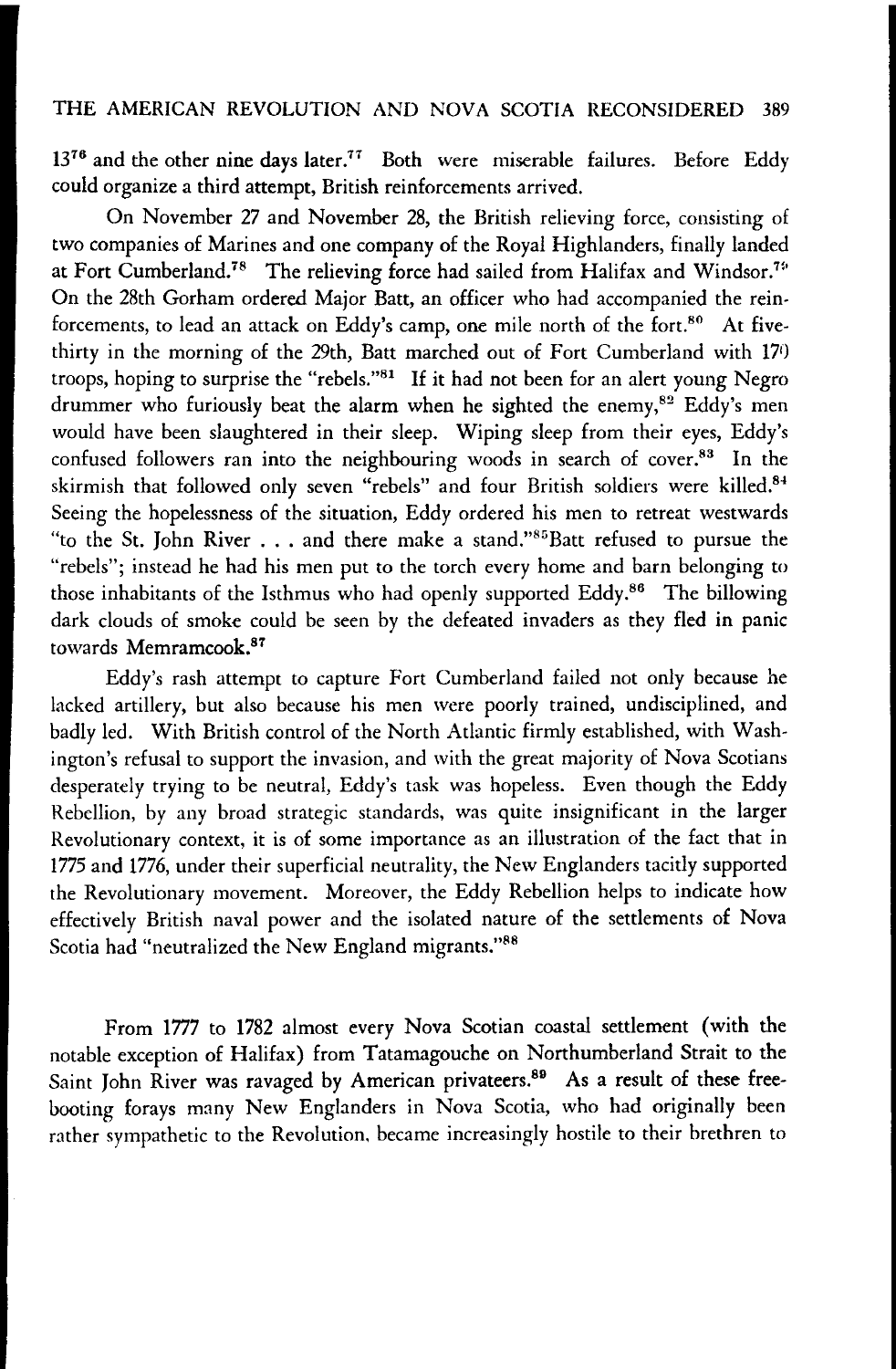$13^{76}$  and the other nine days later.<sup>77</sup> Both were miserable failures. Before Eddy could organize a third attempt, British reinforcements arrived.

On November 27 and November 28, the British relieving force, consisting of two companies of Marines and one company of the Royal Highlanders, finally landed at Fort Cumberland.<sup>78</sup> The relieving force had sailed from Halifax and Windsor.<sup>74</sup> On the 28th Gorham ordered Major Batt, an officer who had accompanied the reinforcements, to lead an attack on Eddy's camp, one mile north of the fort.<sup>80</sup> At fivethirty in the morning of the 29th, Batt marched out of Fort Cumberland with 171) troops, hoping to surprise the "rebels."81 If it had not been for an alert young Negro drummer who furiously beat the alarm when he sighted the enemy,<sup>82</sup> Eddy's men would have been slaughtered in their sleep. Wiping sleep from their eyes, Eddy's confused followers ran into the neighbouring woods in search of cover.<sup>83</sup> In the skirmish that followed only seven "rebels" and four British soldiers were killed.<sup>84</sup> Seeing the hopelessness of the situation, Eddy ordered his men to retreat westwards "to the St. John River  $\ldots$  and there make a stand." $85$ Batt refused to pursue the "rebels"; instead he had his men put to the torch every home and barn belonging to those inhabitants of the Isthmus who had openly supported Eddy.86 The billowing dark clouds of smoke could be seen by the defeated invaders as they fled in panic towards Memramcook.<sup>87</sup>

Eddy's rash attempt to capture Fort Cumberland failed not only because he lacked artillery, but also because his men were poorly trained, undisciplined, and badly led. With British control of the North Atlantic firmly established, with Washington's refusal to support the invasion, and with the great majority of Nova Scotians desperately trying to be neutral, Eddy's task was hopeless. Even though the Eddy Rebellion, by any broad strategic standards, was quite insignificant in the larger Revolutionary context, it is of some importance as an illustration of the fact that in 1775 and 1776, under their superficial neutrality, the New Englanders tacitly supported the Revolutionary movement. Moreover, the Eddy Rebellion helps to indicate how effectively British naval power and the isolated nature of the settlements of Nova Scotia had "neutralized the New England migrants."88

From 1777 to 1782 almost every Nova Scotian coastal settlement (with the notable exception of Halifax) from Tatamagouche on Northumberland Strait to the Saint John River was ravaged by American privateers.<sup>89</sup> As a result of these freebooting forays many New Englanders in Nova Scotia, who had originally been rather sympathetic to the Revolution, became increasingly hostile to their brethren to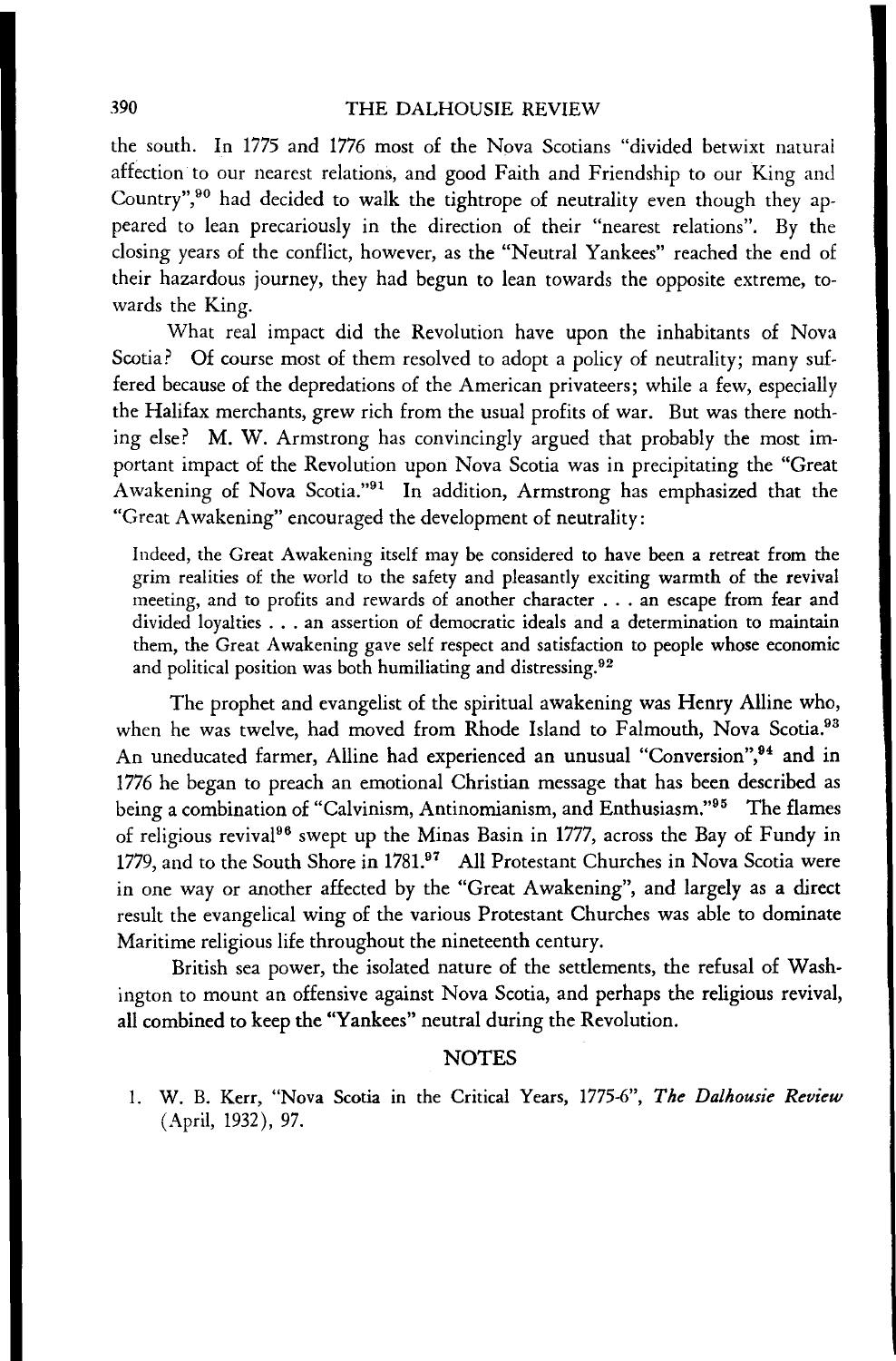the south. In 1775 and 1776 most of the Nova Scotians "divided betwixt naturai affection to our nearest relations, and good Faith and Friendship to our King and Country",90 had decided to walk the tightrope of neutrality even though they appeared to lean precariously in the direction of their "nearest relations". By the closing years of the conflict, however, as the "Neutral Yankees" reached the end of their hazardous journey, they had begun to lean towards the opposite extreme, towards the King.

What real impact did the Revolution have upon the inhabitants of Nova Scotia? Of course most of them resolved to adopt a policy of neutrality; many suffered because of the depredations of the American privateers; while a few, especially the Halifax merchants, grew rich from the usual profits of war. But was there nothing else? M. W. Armstrong has convincingly argued that probably the most important impact of the Revolution upon Nova Scotia was in precipitating the "Great Awakening of Nova Scotia."91 In addition, Armstrong has emphasized that the "Great A wakening" encouraged the development of neutrality:

Indeed, the Great Awakening itself may be considered to have been a retreat from the grim realities of the world to the safety and pleasantly exciting warmth of the revival meeting, and to profits and rewards of another character ... an escape from fear and divided loyalties ... an assertion of democratic ideals and a determination to maintain them, the Great Awakening gave self respect and satisfaction to people whose economic and political position was both humiliating and distressing.92

The prophet and evangelist of the spiritual awakening was Henry Alline who, when he was twelve, had moved from Rhode Island to Falmouth, Nova Scotia.<sup>93</sup> An uneducated farmer, Alline had experienced an unusual "Conversion",94 and in 1776 he began to preach an emotional Christian message that has been described as being a combination of "Calvinism, Antinomianism, and Enthusiasm."<sup>95</sup> The flames of religious revival96 swept up the Minas Basin in 1777, across the Bay of Fundy in 1779, and to the South Shore in  $1781$ .<sup>97</sup> All Protestant Churches in Nova Scotia were in one way or another affected by the "Great Awakening", and largely as a direct result the evangelical wing of the various Protestant Churches was able to dominate Maritime religious life throughout the nineteenth century.

British sea power, the isolated nature of the settlements, the refusal of Washington to mount an offensive against Nova Scotia, and perhaps the religious revival, all combined to keep the "Yankees" neutral during the Revolution.

#### **NOTES**

1. W. B. Kerr, "Nova Scotia m the Critical Years, 1775-6", *The Dalhousie Review*  (April, 1932), 97.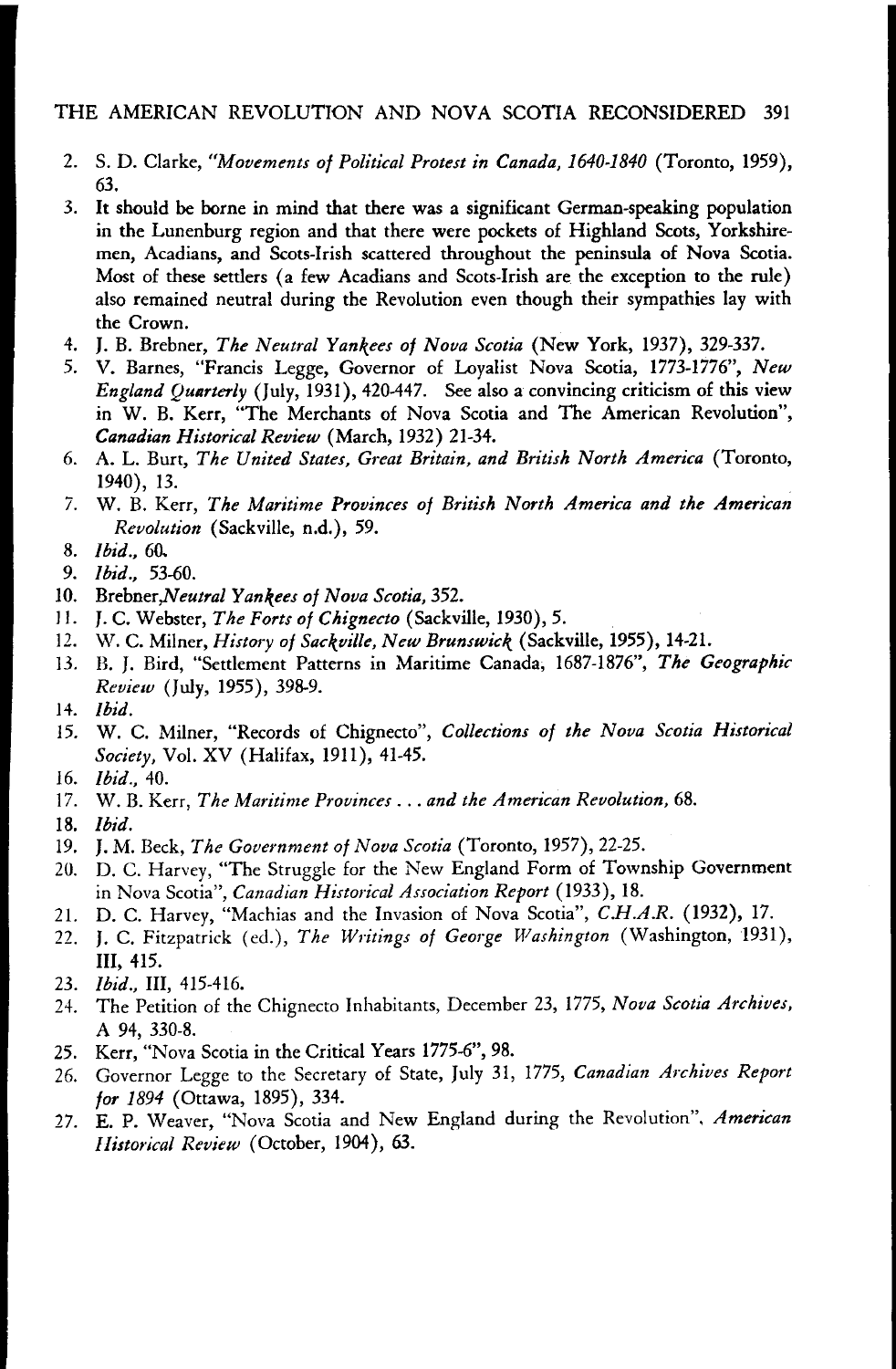- 2. S. D. Clarke, *"Movements of Political Protest in Canada, 1640-1840* (Toronto, 1959), 63.
- 3. It should be borne in mind that there was a significant German-speaking population in the Lunenburg region and that there were pockets of Highland Scots, Yorkshiremen, Acadians, and Scots-Irish scattered throughout the peninsula of Nova Scotia. Most of these settlers (a few Acadians and Scots-Irish are the exception to the rule) also remained neutral during the Revolution even though their sympathies lay with the Crown.
- 4. J. B. Brebner, *The Neutral Yankees of Nova Scotia* (New York, 1937), 329-337.
- 5. V. Barnes, "Francis Legge, Governor of Loyalist Nova Scotia, 1773-1776", *New England Quarterly* (July, 1931), 420-447. See also a convincing criticism of this view in W. B. Kerr, "The Merchants of Nova Scotia and The American Revolution", *Canadian Historical Review* (March, 1932) 21-34.
- 6. A. L. Burt, *The United States, Great Britain, and British North America* (Toronto, 1940), 13.
- 7. W. B. Kerr, *The Maritime Provinces of British North America and the American Revolution* (Sackville, n.d. ), 59.
- 8. *Ibid.,* 60.
- 9. *Ibid.,* 53-60.
- 10. *Brebner,Neutral Yankees of Nova Scotia,* 352.
- I I. J. C. Webster, *The Forts of Chignecto* (Sackville, 1930), 5.
- 12. W. C. Milner, *History of Sackville, New Brunswick* (Sackville, 1955), 14-21.
- 13. B. J. Bird, "Settlement Patterns in Maritime Canada; 1687-1876", *The Geographic Review* (July, 1955), 398-9.
- 14. *Ibid.*
- 15. W. C. Milner, "Records of Chignecto", *Collections of the Nova Scotia Historical Society,* Vol. XV (Halifax, 1911), 41-45.
- 16. *Ibid.,* 40.
- 17. W. B. Kerr, *The Maritime Provinces ... and the American Revolution,* 68.
- 18. *Ibid.*
- 19. J. M. Beck, *The Government of Nova Scotia* (Toronto, 1957), 22-25.
- 20. D. C. Harvey, "The Struggle for the New England Form of Township Government in Nova Scotia", *Canadian Historical Association Report* (1933), 18.
- 21. D. C. Harvey, "Machias and the Invasion of Nova Scotia", *C.H.A.R.* (1932), 17.
- 22. J. C. Fitzpatrick (ed.), *The Writings of George Washington* (Washington, 1931), Ill, 415.
- 23. *Ibid.,* III, 415-416.
- 24. The Petition of the Chignecto Inhabitants, December 23, 1775, *Nova Scotia Archives,*  A 94, 330-8.
- 25. Kerr, "Nova Scotia in the Critical Years 1775-6", 98.
- 26. Governor Legge to the Secretary of State, July 31, 1775, *Canadian Archives Report for 1894* (Ottawa, 1895), 334.
- 27. E. P. \Veaver, "Nova Scotia and New England during the Revolution", *American Historical Review* (October, 1904), 63.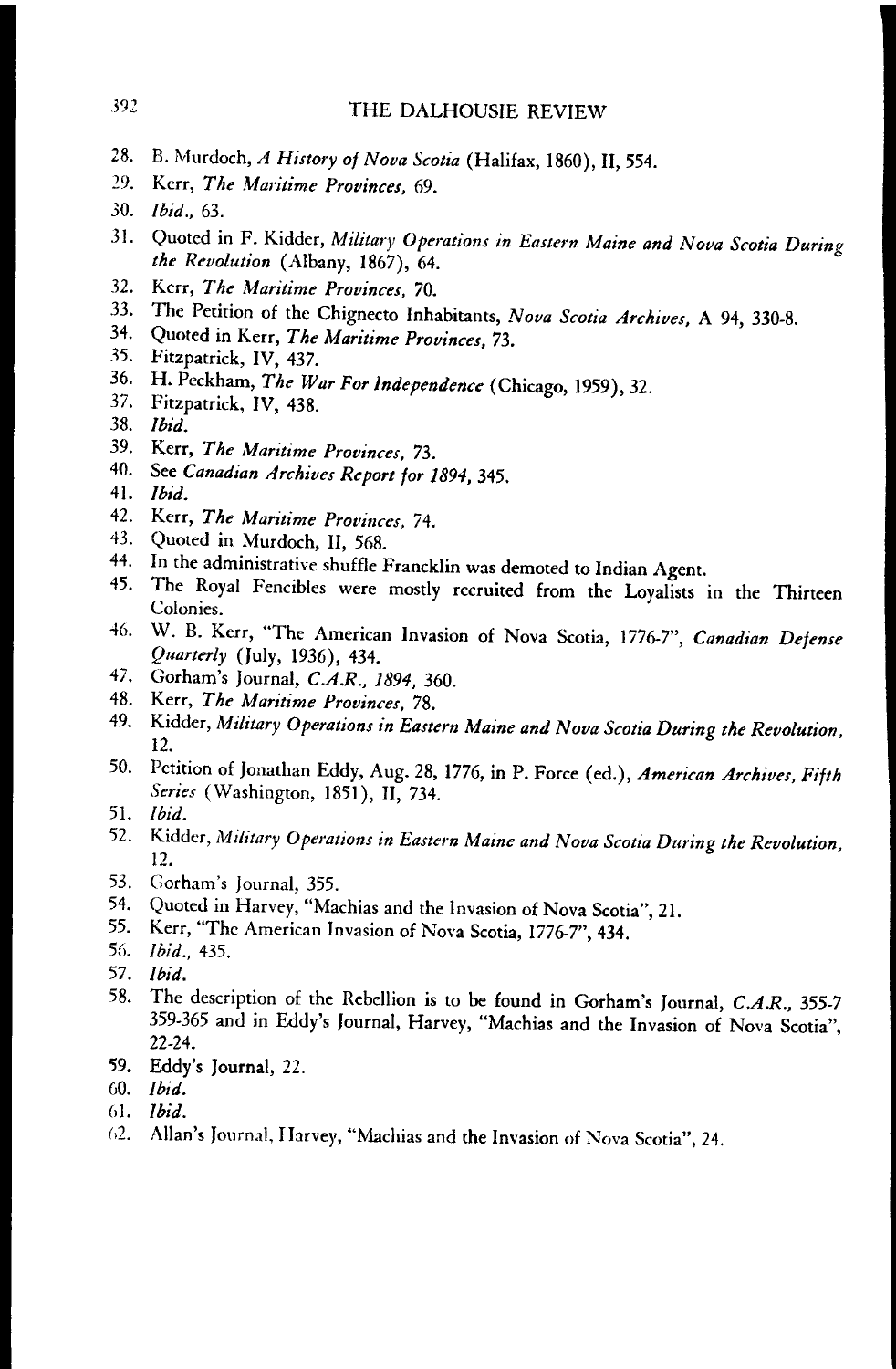# *392* THE DALHOUSIE REVIEW

- 28. B. Murdoch, *A History of Nova Scotia* (Halifax, 1860), II, 554.
- *29.* Kcrr, *The Maritime Provinces,* 69.
- 30. *Ibid.,* 63.
- 31. Quoted in F. Kidder, *Military Operations in Eastem Maine and Nova Scotia During the Revolution* (Albany, 1867), 64.
- 32. Kerr, *Tile Maritime Provinces,* 70.
- 33. The Petition of the Chignecto Inhabitants, *Nova Scotia Archives,* A 94, 330-8.
- 34. Quoted in Kerr, *The Maritime Provinces,* 73.
- 35. Fitzpatrick, IV, 437.
- 36. H. Peckham, *The War For Independence* (Chicago, 1959), 32.
- 37. Fitzpatrick, IV, 438.
- 38. *Ibid.*
- *39.* Kerr, *The Maritime Provinces,* 73.
- 40. See *Canadian Archives Report for 1894,* 345.
- 41. *Ibid.*
- 42. Kerr, The Maritime Provinces, 74.
- 43. Quoted in Murdoch, II, 568.
- 44. In the administrative shuffle Francklin was demoted to Indian Agent.
- 45. The Royal Fencibles were mostly recruited from the Loyalists in the Thirteen Colonies.
- 46. W. B. Kerr, "The American Invasion of Nova Scotia, 1776-7", *Canadian Defense Quarterly* (July, 1936), 434.
- 47. Gorham's Journal, *C.A.R., 1894,* 360.
- 48. Kerr, *The Maritime Provinces,* 78.
- 49. Kidder, *Military Operations in Eastern Maine and Nova Scotia During the Revolution,*  12.
- 50. Petition of Jonathan Eddy, Aug. 28, 1776, in P. Force (ed.), *American Archives, Fifth Series* (Washington, 1851), II, 734.
- 51. *Ibid.*
- 52. Kidder, *klilitary Operations in Eastern Maine and Nova Scotia During the Revolution,*  12.
- 53. Gorham's journal, 355.
- 54. Quoted in Harvey, "Machias and the Invasion of Nova Scotia", 21.
- 55. Kerr, "The American Invasion of Nova Scotia, 1776-7", 434.
- 56. *Ibid.,* 435.
- 57. *Ibid.*
- 58. The description of the Rebellion is to be found in Gorham's Journal, *C.A.R.,* 355-7 359-365 and in Eddy's Journal, Harvey, "Machias and the Invasion of Nova Scotia", 22-24.
- 59. Eddy's Journal, 22.
- GO. *Ibid.*
- M. *Ibid.*
- 62. Allan's Journal, Harvey, "Machias and the Invasion of Nova Scotia", 24.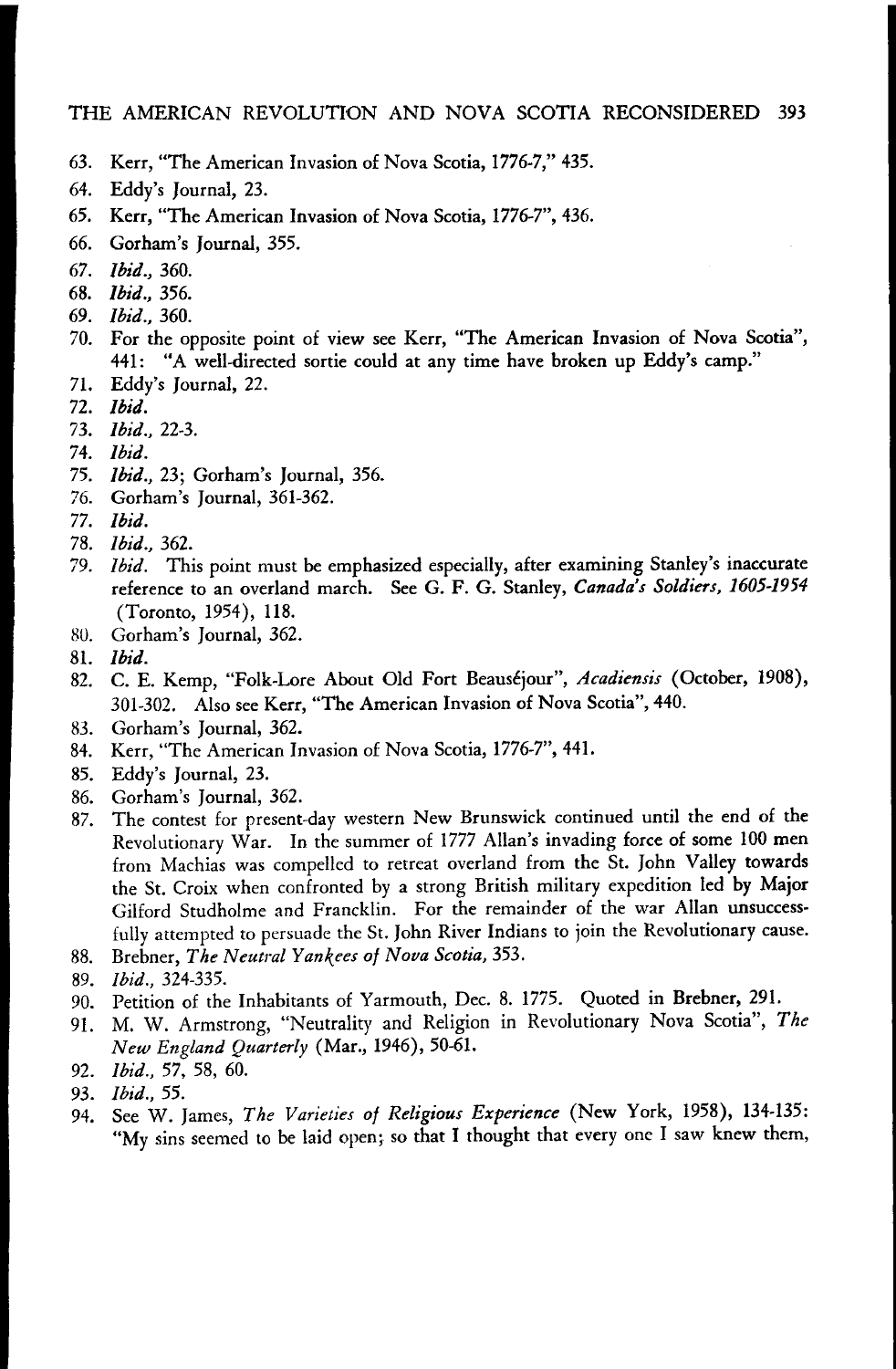- 63. Kerr, "The American Invasion of Nova Scotia, 1776-7," 435.
- 64. Eddy's Journal, 23.
- 65. Kerr, "The American Invasion of Nova Scotia, 1776-7", 436.
- 66. Gorham's Journal, 355.
- 67. *Ibid.,* 360.
- 68. *Ibid.,* 356.
- 69. *Ibid.,* 360.
- 70. For the opposite point of view see Kerr, "The American Invasion of Nova Scotia", 441: "A well-directed sortie could at any time have broken up Eddy's camp."
- 71. Eddy's Journal, 22.
- 72. *Ibid.*
- 73. *Ibid.,* 22-3.
- 74. *Ibid.*
- 75. *Ibid.,* 23; Gorham's Journal, 356.
- 76. Gorham's Journal, 361-362.
- 77. *Ibid.*
- 78. *Ibid.,* 362.
- 79. *Ibid.* This point must be emphasized especially, after examining Stanley's inaccurate reference to an overland march. See G. F. G. Stanley, *Canada's Soldiers, 1605-1954*  (Toronto, 1954 ), 118.
- 80. Gorham's Journal, 362.
- 81. *Ibid.*
- 82. C. E. Kemp, "Folk-Lore About Old Fort Beausejour", *Acadiensis* (October, 1908), 301-302. Also see Kerr, "The American Invasion of Nova Scotia", 440.
- 83. Gorham's Journal, 362.
- 84. Kerr, "The American Invasion of Nova Scotia, 1776-7", 441.
- 85. Eddy's Journal, 23.
- 86. Gorham's Journal, 362.
- 87. The contest for present-day western New Brunswick continued until the end of the Revolutionary War. In the summer of 1777 Allan's invading force of some 100 men from Machias was compelled to retreat overland from the St. John Valley towards the St. Croix when confronted by a strong British military expedition led by Major Gilford Studholme and Francklin. For the remainder of the war Allan unsuccessfully attempted to persuade the St. John River Indians to join the Revolutionary cause.
- 88. Brebner, *The Neutral Yankees of Nova Scotia,* 353.
- 89. *Ibid.,* 324-335.
- 90. Petition of the Inhabitants of Yarmouth, Dec. 8. 1775. Quoted in Brebner, 291.
- 91. M. W. Armstrong, "Neutrality and Religion in ReYolutionary Nova Scotia", *The New England Quarterly* (Mar., 1946), 50-61.
- 92. *Ibid.,* 57, 58, 60.
- 93. *Ibid.,* 55.
- 94. See W. James, *The Varieties of Religious Experience* (New York, 1958), 134-135: "My sins seemed to be laid open; so that I thought that every one I saw knew them,